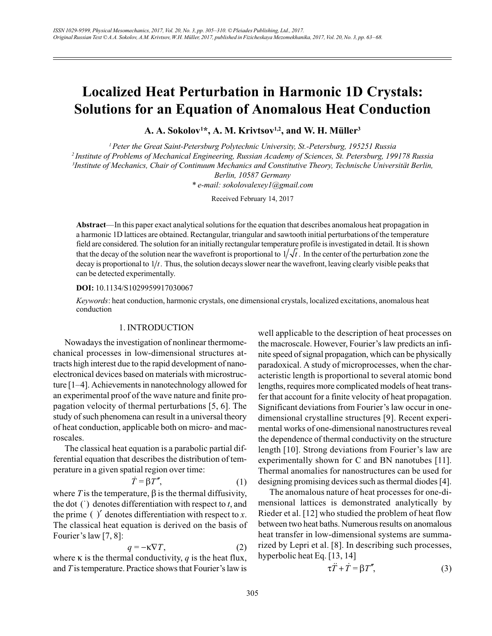# **Localized Heat Perturbation in Harmonic 1D Crystals: Solutions for an Equation of Anomalous Heat Conduction**

A. A. Sokolov<sup>1\*</sup>, A. M. Krivtsov<sup>1,2</sup>, and W. H. Müller<sup>3</sup>

<sup>1</sup> Peter the Great Saint-Petersburg Polytechnic University, St.-Petersburg, 195251 Russia <sup>2</sup>Institute of Problems of Mechanical Engineering, Russian Academy of Sciences, St. Petersburg, 199178 Russia <sup>3</sup>Institute of Mechanics, Chair of Continuum Mechanics and Constitutive Theory, Technische Universität Berlin, Berlin, 10587 Germany

\* e-mail: sokolovalexey1@gmail.com

Received February 14, 2017

Abstract—In this paper exact analytical solutions for the equation that describes anomalous heat propagation in a harmonic 1D lattices are obtained. Rectangular, triangular and sawtooth initial perturbations of the temperature field are considered. The solution for an initially rectangular temperature profile is investigated in detail. It is shown that the decay of the solution near the wavefront is proportional to  $1/\sqrt{t}$ . In the center of the perturbation zone the decay is proportional to  $1/t$ . Thus, the solution decays slower near the wavefront, leaving clearly visible peaks that can be detected experimentally.

#### DOI: 10.1134/S1029959917030067

Keywords: heat conduction, harmonic crystals, one dimensional crystals, localized excitations, anomalous heat conduction

# 1. INTRODUCTION

Nowadays the investigation of nonlinear thermomechanical processes in low-dimensional structures attracts high interest due to the rapid development of nanoelectronical devices based on materials with microstructure  $[1-4]$ . Achievements in nanotechnology allowed for an experimental proof of the wave nature and finite propagation velocity of thermal perturbations [5, 6]. The study of such phenomena can result in a universal theory of heat conduction, applicable both on micro- and macroscales.

The classical heat equation is a parabolic partial differential equation that describes the distribution of temperature in a given spatial region over time:

$$
\dot{T} = \beta T'',\tag{1}
$$

where T is the temperature,  $\beta$  is the thermal diffusivity, the dot  $( )$  denotes differentiation with respect to  $t$ , and the prime  $(y')$  denotes differentiation with respect to x. The classical heat equation is derived on the basis of Fourier's law  $[7, 8]$ :

$$
q = -\kappa \nabla T,\tag{2}
$$

where  $\kappa$  is the thermal conductivity, q is the heat flux, and  $T$  is temperature. Practice shows that Fourier's law is well applicable to the description of heat processes on the macroscale. However, Fourier's law predicts an infinite speed of signal propagation, which can be physically paradoxical. A study of microprocesses, when the characteristic length is proportional to several atomic bond lengths, requires more complicated models of heat transfer that account for a finite velocity of heat propagation. Significant deviations from Fourier's law occur in onedimensional crystalline structures [9]. Recent experimental works of one-dimensional nanostructures reveal the dependence of thermal conductivity on the structure length [10]. Strong deviations from Fourier's law are experimentally shown for C and BN nanotubes [11]. Thermal anomalies for nanostructures can be used for designing promising devices such as thermal diodes [4].

The anomalous nature of heat processes for one-dimensional lattices is demonstrated analytically by Rieder et al. [12] who studied the problem of heat flow between two heat baths. Numerous results on anomalous heat transfer in low-dimensional systems are summarized by Lepri et al. [8]. In describing such processes, hyperbolic heat Eq. [13, 14]

$$
\tau \ddot{T} + \dot{T} = \beta T'', \tag{3}
$$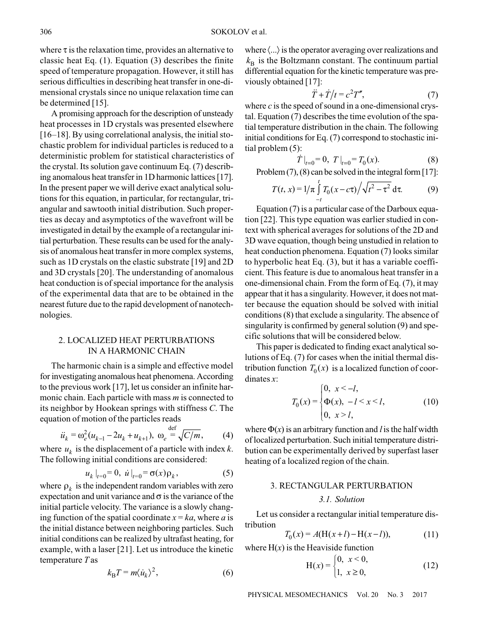where  $\tau$  is the relaxation time, provides an alternative to classic heat Eq.  $(1)$ . Equation  $(3)$  describes the finite speed of temperature propagation. However, it still has serious difficulties in describing heat transfer in one-dimensional crystals since no unique relaxation time can be determined [15].

A promising approach for the description of unsteady heat processes in 1D crystals was presented elsewhere  $[16-18]$ . By using correlational analysis, the initial stochastic problem for individual particles is reduced to a deterministic problem for statistical characteristics of the crystal. Its solution gave continuum Eq. (7) describing anomalous heat transfer in 1D harmonic lattices [17]. In the present paper we will derive exact analytical solutions for this equation, in particular, for rectangular, triangular and sawtooth initial distribution. Such properties as decay and asymptotics of the wavefront will be investigated in detail by the example of a rectangular initial perturbation. These results can be used for the analysis of anomalous heat transfer in more complex systems, such as 1D crystals on the elastic substrate [19] and 2D and 3D crystals [20]. The understanding of anomalous heat conduction is of special importance for the analysis of the experimental data that are to be obtained in the nearest future due to the rapid development of nanotechnologies.

# 2. LOCALIZED HEAT PERTURBATIONS IN A HARMONIC CHAIN

The harmonic chain is a simple and effective model for investigating anomalous heat phenomena. According to the previous work [17], let us consider an infinite harmonic chain. Each particle with mass  $m$  is connected to its neighbor by Hookean springs with stiffness C. The equation of motion of the particles reads

$$
\ddot{u}_k = \omega_e^2 (u_{k-1} - 2u_k + u_{k+1}), \ \omega_e \stackrel{\text{def}}{=} \sqrt{C/m}, \qquad (4)
$$

where  $u_k$  is the displacement of a particle with index k. The following initial conditions are considered:

$$
u_k|_{t=0} = 0, \, \dot{u}|_{t=0} = \sigma(x)\rho_k, \tag{5}
$$

where  $\rho_k$  is the independent random variables with zero expectation and unit variance and  $\sigma$  is the variance of the initial particle velocity. The variance is a slowly changing function of the spatial coordinate  $x = ka$ , where a is the initial distance between neighboring particles. Such initial conditions can be realized by ultrafast heating, for example, with a laser [21]. Let us introduce the kinetic temperature  $T$  as

$$
k_{\rm B}T = m \langle \dot{u}_k \rangle^2, \tag{6}
$$

where  $\langle \ldots \rangle$  is the operator averaging over realizations and  $k_{\rm B}$  is the Boltzmann constant. The continuum partial differential equation for the kinetic temperature was previously obtained [17]:

$$
\ddot{T} + \dot{T}/t = c^2 T'',\tag{7}
$$

where  $c$  is the speed of sound in a one-dimensional crystal. Equation (7) describes the time evolution of the spatial temperature distribution in the chain. The following initial conditions for Eq. (7) correspond to stochastic initial problem  $(5)$ :

$$
\dot{T}\big|_{t=0} = 0, \ T\big|_{t=0} = T_0(x). \tag{8}
$$

Problem  $(7)$ ,  $(8)$  can be solved in the integral form [17]:

$$
T(t, x) = 1/\pi \int_{-t}^{t} T_0(x - c\tau) / \sqrt{t^2 - \tau^2} d\tau.
$$
 (9)

Equation (7) is a particular case of the Darboux equation [22]. This type equation was earlier studied in context with spherical averages for solutions of the 2D and 3D wave equation, though being unstudied in relation to heat conduction phenomena. Equation (7) looks similar to hyperbolic heat Eq.  $(3)$ , but it has a variable coefficient. This feature is due to anomalous heat transfer in a one-dimensional chain. From the form of Eq. (7), it may appear that it has a singularity. However, it does not matter because the equation should be solved with initial conditions (8) that exclude a singularity. The absence of singularity is confirmed by general solution (9) and specific solutions that will be considered below.

This paper is dedicated to finding exact analytical solutions of Eq. (7) for cases when the initial thermal distribution function  $T_0(x)$  is a localized function of coordinates  $x$ :

$$
T_0(x) = \begin{cases} 0, & x < -l, \\ \Phi(x), & -l < x < l, \\ 0, & x > l, \end{cases} \tag{10}
$$

where  $\Phi(x)$  is an arbitrary function and l is the half width of localized perturbation. Such initial temperature distribution can be experimentally derived by superfast laser heating of a localized region of the chain.

# **3. RECTANGULAR PERTURBATION** 3.1. Solution

Let us consider a rectangular initial temperature distribution

$$
T_0(x) = A(H(x+l) - H(x-l)),
$$
\n(11)

where  $H(x)$  is the Heaviside function

$$
H(x) = \begin{cases} 0, & x < 0, \\ 1, & x \ge 0, \end{cases}
$$
 (12)

PHYSICAL MESOMECHANICS Vol. 20 No. 3 2017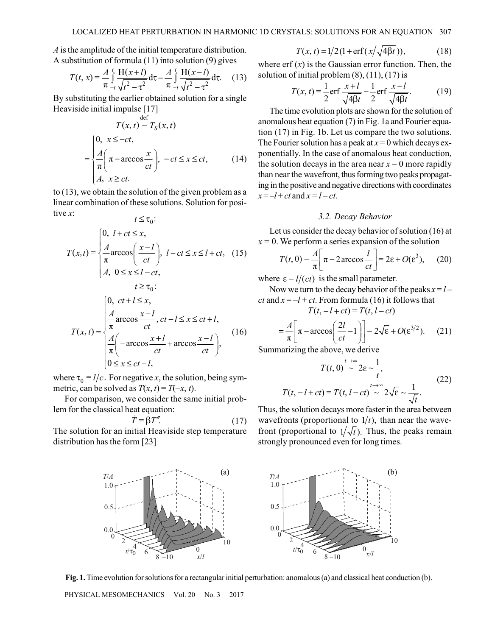$\Lambda$  is the amplitude of the initial temperature distribution. A substitution of formula  $(11)$  into solution  $(9)$  gives

$$
T(t, x) = \frac{A}{\pi} \int_{-t}^{t} \frac{H(x+t)}{\sqrt{t^2 - \tau^2}} d\tau - \frac{A}{\pi} \int_{-t}^{t} \frac{H(x-t)}{\sqrt{t^2 - \tau^2}} d\tau.
$$
 (13)

By substituting the earlier obtained solution for a single Heaviside initial impulse [17]

$$
T(x, t) = T_S(x, t)
$$
  
= 
$$
\begin{cases} 0, & x \le -ct, \\ \frac{A}{\pi} \left( \pi - \arccos \frac{x}{ct} \right), & -ct \le x \le ct, \\ A, & x \ge ct. \end{cases}
$$
 (14)

to  $(13)$ , we obtain the solution of the given problem as a linear combination of these solutions. Solution for positive  $x$ :

$$
t \leq \tau_0:
$$
  
\n
$$
T(x,t) = \begin{cases} 0, & l+ct \leq x, \\ \frac{A}{\pi} \arccos\left(\frac{x-l}{ct}\right), & l-ct \leq x \leq l+ct, \\ A, & 0 \leq x \leq l-ct, \end{cases}
$$
  
\n
$$
t \geq \tau_0:
$$
  
\n
$$
\int \frac{0, & ct+l \leq x, \\ \frac{A}{\pi} \arccos \frac{x-l}{ct}, & ct-l \leq x \leq ct+l, \\ T(x,t) = \begin{cases} \frac{A}{\pi} \left( -\arccos \frac{x+l}{ct} + \arccos \frac{x-l}{ct} \right), \\ 0 \leq x \leq ct-l, \end{cases}
$$
  
\n(16)

where  $\tau_0 = l/c$ . For negative x, the solution, being symmetric, can be solved as  $T(x, t) = T(-x, t)$ .

For comparison, we consider the same initial problem for the classical heat equation:

$$
\dot{T} = \dot{\beta}T''.
$$
 (17)

The solution for an initial Heaviside step temperature distribution has the form [23]

 $T(x, t) = 1/2(1 + \text{erf}(x/\sqrt{4\beta t})),$  $(18)$ 

where  $erf(x)$  is the Gaussian error function. Then, the solution of initial problem  $(8)$ ,  $(11)$ ,  $(17)$  is

$$
T(x,t) = \frac{1}{2} \text{erf} \frac{x+l}{\sqrt{4\beta t}} - \frac{1}{2} \text{erf} \frac{x-l}{\sqrt{4\beta t}}.
$$
 (19)

The time evolution plots are shown for the solution of anomalous heat equation (7) in Fig. 1a and Fourier equation (17) in Fig. 1b. Let us compare the two solutions. The Fourier solution has a peak at  $x = 0$  which decays exponentially. In the case of anomalous heat conduction, the solution decays in the area near  $x = 0$  more rapidly than near the wavefront, thus forming two peaks propagating in the positive and negative directions with coordinates  $x=-l+ct$  and  $x=l-ct$ .

### 3.2. Decay Behavior

Let us consider the decay behavior of solution (16) at  $x = 0$ . We perform a series expansion of the solution

$$
T(t, 0) = \frac{A}{\pi} \left[ \pi - 2 \arccos \frac{l}{ct} \right] = 2\varepsilon + O(\varepsilon^3), \quad (20)
$$

where  $\varepsilon = l/(ct)$  is the small parameter.

Now we turn to the decay behavior of the peaks  $x = l$ *ct* and  $x = -l + ct$ . From formula (16) it follows that  $T(t - l + ct) = T(t, l - ct)$ 

$$
I(t, -t + ct) - I(t, t - ct)
$$
  
=  $\frac{A}{\pi} \left[ \pi - \arccos\left(\frac{2l}{ct} - 1\right) \right] = 2\sqrt{\epsilon} + O(\epsilon^{3/2}).$  (21)

Summarizing the above, we derive

$$
T(t,0) \sim 2\varepsilon \sim \frac{1}{t},
$$
  
\n
$$
T(t,-l+ct) = T(t,l-ct) \sim 2\sqrt{\varepsilon} \sim \frac{1}{\sqrt{t}}.
$$
\n(22)

Thus, the solution decays more faster in the area between wavefronts (proportional to  $1/t$ ), than near the wavefront (proportional to  $1/\sqrt{t}$ ). Thus, the peaks remain strongly pronounced even for long times.





Fig. 1. Time evolution for solutions for a rectangular initial perturbation: anomalous (a) and classical heat conduction (b).

PHYSICAL MESOMECHANICS Vol. 20 No. 3 2017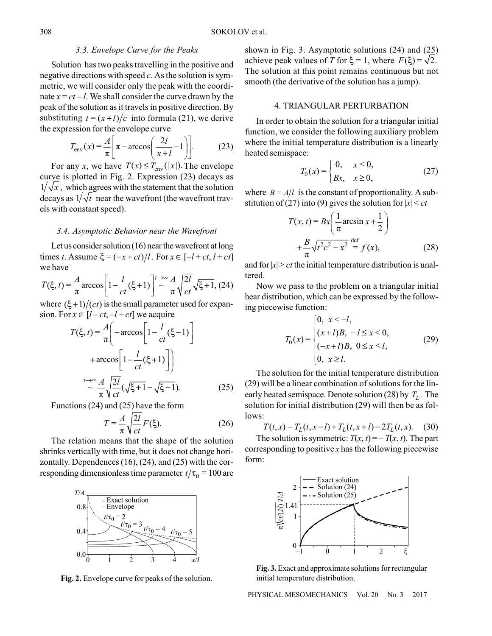## 3.3. Envelope Curve for the Peaks

Solution has two peaks travelling in the positive and negative directions with speed  $c$ . As the solution is symmetric, we will consider only the peak with the coordinate  $x = ct - l$ . We shall consider the curve drawn by the peak of the solution as it travels in positive direction. By substituting  $t = (x+l)/c$  into formula (21), we derive the expression for the envelope curve

$$
T_{\text{env}}(x) = \frac{A}{\pi} \left[ \pi - \arccos\left(\frac{2l}{x+l} - 1\right) \right].
$$
 (23)

For any x, we have  $T(x) \leq T_{env}(|x|)$ . The envelope curve is plotted in Fig. 2. Expression (23) decays as  $1/\sqrt{x}$ , which agrees with the statement that the solution decays as  $1/\sqrt{t}$  near the wavefront (the wavefront travels with constant speed).

#### 3.4. Asymptotic Behavior near the Wavefront

Let us consider solution  $(16)$  near the wavefront at long times t. Assume  $\xi = (-x + ct)/l$ . For  $x \in [-l + ct, l + ct]$ we have

$$
T(\xi, t) = \frac{A}{\pi} \arccos\left[1 - \frac{l}{ct}(\xi + 1)\right]^{t \to \infty} \frac{A}{\pi} \sqrt{\frac{2l}{ct}} \sqrt{\xi + 1},
$$
 (24)

where  $(\xi+1)/(ct)$  is the small parameter used for expansion. For  $x \in [l-ct, -l+ct]$  we acquire

$$
T(\xi, t) = \frac{A}{\pi} \left( -\arccos\left[1 - \frac{l}{ct}(\xi - 1)\right] + \arccos\left[1 - \frac{l}{ct}(\xi + 1)\right] \right)
$$

$$
+ \frac{l}{ct} \frac{A}{\pi} \sqrt{\frac{2l}{ct}} (\sqrt{\xi + 1} - \sqrt{\xi - 1}). \tag{25}
$$

Functions  $(24)$  and  $(25)$  have the form

$$
T = \frac{A}{\pi} \sqrt{\frac{2l}{ct}} F(\xi).
$$
 (26)

The relation means that the shape of the solution shrinks vertically with time, but it does not change horizontally. Dependences  $(16)$ ,  $(24)$ , and  $(25)$  with the corresponding dimensionless time parameter  $t/\tau_0 = 100$  are



Fig. 2. Envelope curve for peaks of the solution.

shown in Fig. 3. Asymptotic solutions  $(24)$  and  $(25)$ achieve peak values of T for  $\xi = 1$ , where  $F(\xi) = \sqrt{2}$ . The solution at this point remains continuous but not smooth (the derivative of the solution has a jump).

#### **4. TRIANGULAR PERTURBATION**

In order to obtain the solution for a triangular initial function, we consider the following auxiliary problem where the initial temperature distribution is a linearly heated semispace:

$$
T_0(x) = \begin{cases} 0, & x < 0, \\ Bx, & x \ge 0, \end{cases}
$$
 (27)

where  $B = A/l$  is the constant of proportionality. A substitution of (27) into (9) gives the solution for  $|x| < ct$ 

$$
T(x,t) = Bx \left( \frac{1}{\pi} \arcsin x + \frac{1}{2} \right)
$$

$$
+ \frac{B}{\pi} \sqrt{t^2 c^2 - x^2} \stackrel{\text{def}}{=} f(x), \tag{28}
$$

and for  $|x| > ct$  the initial temperature distribution is unaltered.

Now we pass to the problem on a triangular initial hear distribution, which can be expressed by the following piecewise function:

$$
T_0(x) = \begin{cases} 0, & x < -l, \\ (x+l)B, & -l \le x < 0, \\ (-x+l)B, & 0 \le x < l, \\ 0, & x \ge l. \end{cases}
$$
 (29)

The solution for the initial temperature distribution (29) will be a linear combination of solutions for the linearly heated semispace. Denote solution (28) by  $T<sub>I</sub>$ . The solution for initial distribution (29) will then be as fol $lows$ :

$$
T(t, x) = T_L(t, x - l) + T_L(t, x + l) - 2T_L(t, x).
$$
 (30)

The solution is symmetric:  $T(x, t) = -T(x, t)$ . The part corresponding to positive  $x$  has the following piecewise form:



Fig. 3. Exact and approximate solutions for rectangular initial temperature distribution.

PHYSICAL MESOMECHANICS Vol. 20 No. 3 2017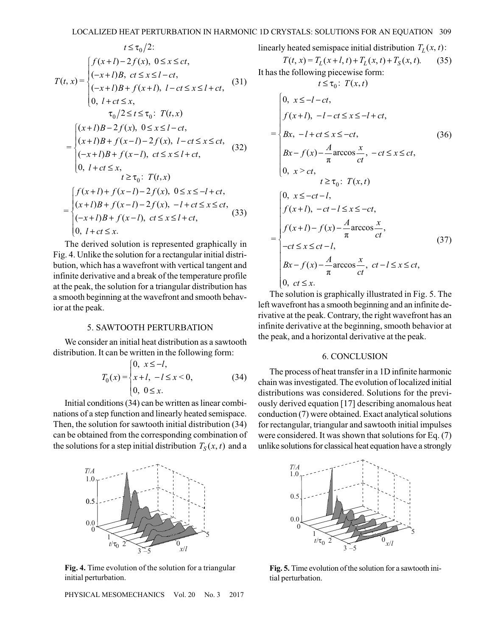$$
t \le \tau_0/2:
$$
  
\n
$$
T(t, x) = \begin{cases} f(x+l) - 2f(x), & 0 \le x \le ct, \\ (-x+l)B, & ct \le x \le l-ct, \\ (x+l)B+f(x+l), & l-ct \le x \le l+ct, \end{cases}
$$
(31)  
\n
$$
T_0/2 \le t \le \tau_0: T(t, x)
$$
  
\n
$$
= \begin{cases} (x+l)B - 2f(x), & 0 \le x \le l-ct, \\ (x+l)B+f(x-l) - 2f(x), & l-ct \le x \le ct, \\ (-x+l)B+f(x-l), & ct \le x \le l+ct, \end{cases}
$$
(32)  
\n
$$
t \ge \tau_0: T(t, x)
$$
  
\n
$$
= \begin{cases} f(x+l) + f(x-l) - 2f(x), & 0 \le x \le -l+ct, \\ (x+l)B+f(x-l) - 2f(x), & -l+ct \le x \le ct, \\ (-x+l)B+f(x-l), & ct \le x \le l+ct, \end{cases}
$$
(33)

The derived solution is represented graphically in Fig. 4. Unlike the solution for a rectangular initial distribution, which has a wavefront with vertical tangent and infinite derivative and a break of the temperature profile at the peak, the solution for a triangular distribution has a smooth beginning at the wavefront and smooth behavior at the peak.

#### **5. SAWTOOTH PERTURBATION**

We consider an initial heat distribution as a sawtooth distribution. It can be written in the following form:

$$
T_0(x) = \begin{cases} 0, & x \le -l, \\ x + l, & -l \le x < 0, \\ 0, & 0 \le x. \end{cases} \tag{34}
$$

Initial conditions (34) can be written as linear combinations of a step function and linearly heated semispace. Then, the solution for sawtooth initial distribution (34) can be obtained from the corresponding combination of the solutions for a step initial distribution  $T_S(x, t)$  and a



Fig. 4. Time evolution of the solution for a triangular initial perturbation.

PHYSICAL MESOMECHANICS Vol. 20 No. 3 2017 linearly heated semispace initial distribution  $T_L(x, t)$ :

$$
T(t, x) = T_L(x+l, t) + T_L(x, t) + T_S(x, t).
$$
 (35)  
\nIt has the following piecewise form:  
\n $t \le \tau_0$ :  $T(x, t)$   
\n
$$
\begin{cases}\n0, x \le -l - ct, \\
f(x+l), -l - ct \le x \le -l + ct, \\
Bx, -l + ct \le x \le -ct, \\
Bx - f(x) - \frac{A}{\pi} \arccos \frac{x}{ct}, -ct \le x \le ct, \\
0, x > ct, \\
t \ge \tau_0
$$
:  $T(x, t)$   
\n
$$
\begin{cases}\n0, x \le -ct - l, \\
f(x+l), -ct - l \le x \le -ct, \\
f(x+l) - f(x) - \frac{A}{\pi} \arccos \frac{x}{ct}, \\
-ct \le x \le ct - l,\n\end{cases}
$$
\n(37)  
\n
$$
\begin{cases}\nct \le x \le ct - l, \\
Bx - f(x) - \frac{A}{\pi} \arccos \frac{x}{ct}, \quad ct - l \le x \le ct, \\
0, ct \le x.\n\end{cases}
$$

The solution is graphically illustrated in Fig. 5. The left wavefront has a smooth beginning and an infinite derivative at the peak. Contrary, the right wavefront has an infinite derivative at the beginning, smooth behavior at the peak, and a horizontal derivative at the peak.

#### **6. CONCLUSION**

The process of heat transfer in a 1D infinite harmonic chain was investigated. The evolution of localized initial distributions was considered. Solutions for the previously derived equation [17] describing anomalous heat conduction (7) were obtained. Exact analytical solutions for rectangular, triangular and sawtooth initial impulses were considered. It was shown that solutions for Eq. (7) unlike solutions for classical heat equation have a strongly



Fig. 5. Time evolution of the solution for a sawtooth initial perturbation.